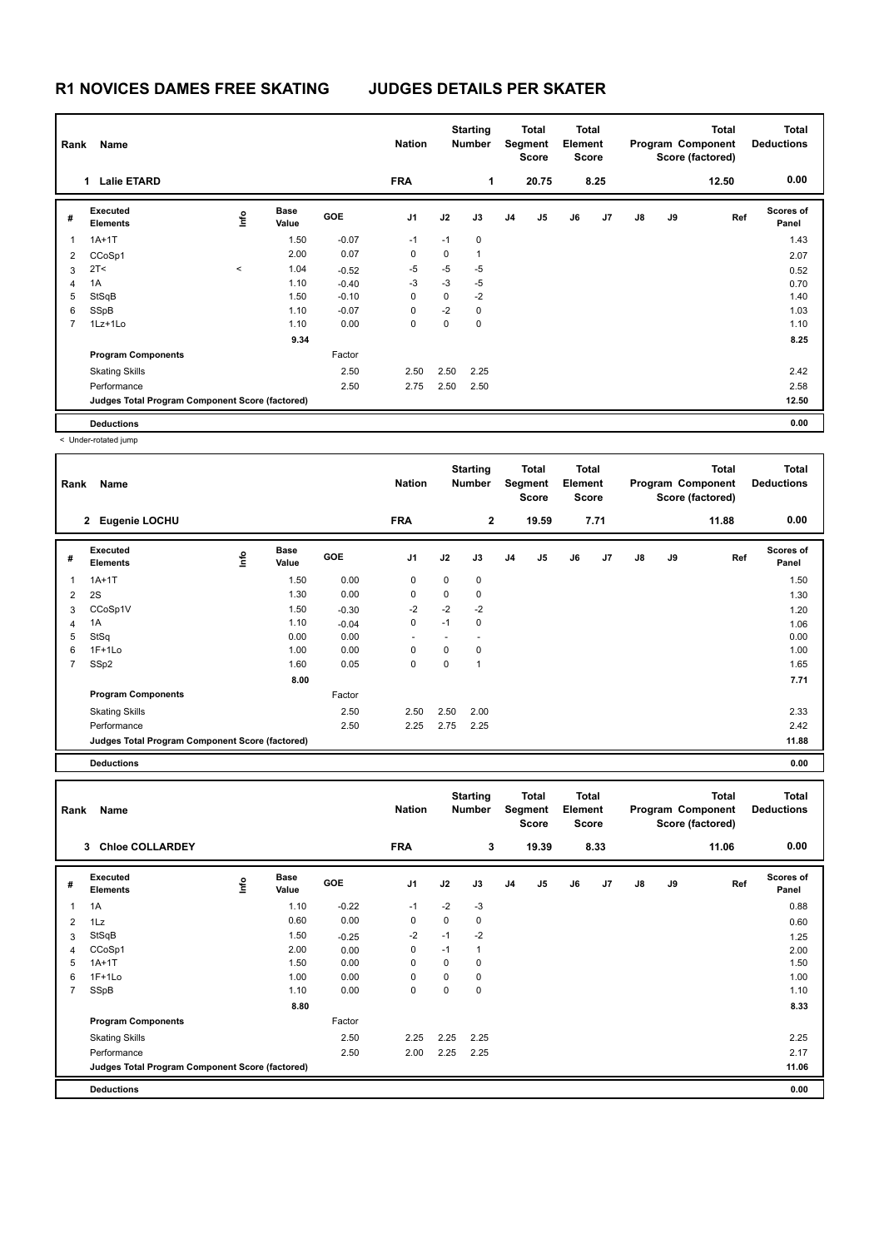## **R1 NOVICES DAMES FREE SKATING JUDGES DETAILS PER SKATER**

| Name<br>Rank   |                                                 |       |                      |            | <b>Nation</b>  |          | <b>Total</b><br><b>Starting</b><br><b>Number</b><br>Segment<br><b>Score</b> |                |       | Total<br>Element<br><b>Score</b> |      | <b>Total</b><br>Program Component<br>Score (factored) |    |       | <b>Total</b><br><b>Deductions</b> |
|----------------|-------------------------------------------------|-------|----------------------|------------|----------------|----------|-----------------------------------------------------------------------------|----------------|-------|----------------------------------|------|-------------------------------------------------------|----|-------|-----------------------------------|
|                | <b>Lalie ETARD</b><br>1                         |       |                      |            | <b>FRA</b>     |          | 1                                                                           |                | 20.75 |                                  | 8.25 |                                                       |    | 12.50 | 0.00                              |
| #              | Executed<br><b>Elements</b>                     | ۴۵    | <b>Base</b><br>Value | <b>GOE</b> | J <sub>1</sub> | J2       | J3                                                                          | J <sub>4</sub> | J5    | J6                               | J7   | $\mathsf{J}8$                                         | J9 | Ref   | <b>Scores of</b><br>Panel         |
| $\overline{1}$ | $1A+1T$                                         |       | 1.50                 | $-0.07$    | $-1$           | $-1$     | $\mathbf 0$                                                                 |                |       |                                  |      |                                                       |    |       | 1.43                              |
| 2              | CCoSp1                                          |       | 2.00                 | 0.07       | 0              | 0        | $\overline{1}$                                                              |                |       |                                  |      |                                                       |    |       | 2.07                              |
| 3              | 2T <                                            | $\,<$ | 1.04                 | $-0.52$    | $-5$           | $-5$     | $-5$                                                                        |                |       |                                  |      |                                                       |    |       | 0.52                              |
| 4              | 1A                                              |       | 1.10                 | $-0.40$    | $-3$           | $-3$     | $-5$                                                                        |                |       |                                  |      |                                                       |    |       | 0.70                              |
| 5              | StSqB                                           |       | 1.50                 | $-0.10$    | 0              | $\Omega$ | $-2$                                                                        |                |       |                                  |      |                                                       |    |       | 1.40                              |
| 6              | SSpB                                            |       | 1.10                 | $-0.07$    | 0              | $-2$     | $\mathbf 0$                                                                 |                |       |                                  |      |                                                       |    |       | 1.03                              |
| $\overline{7}$ | $1Lz+1Lo$                                       |       | 1.10                 | 0.00       | 0              | 0        | 0                                                                           |                |       |                                  |      |                                                       |    |       | 1.10                              |
|                |                                                 |       | 9.34                 |            |                |          |                                                                             |                |       |                                  |      |                                                       |    |       | 8.25                              |
|                | <b>Program Components</b>                       |       |                      | Factor     |                |          |                                                                             |                |       |                                  |      |                                                       |    |       |                                   |
|                | <b>Skating Skills</b>                           |       |                      | 2.50       | 2.50           | 2.50     | 2.25                                                                        |                |       |                                  |      |                                                       |    |       | 2.42                              |
|                | Performance                                     |       |                      | 2.50       | 2.75           | 2.50     | 2.50                                                                        |                |       |                                  |      |                                                       |    |       | 2.58                              |
|                | Judges Total Program Component Score (factored) |       |                      |            |                |          |                                                                             |                |       |                                  |      |                                                       |    |       | 12.50                             |
|                | <b>Deductions</b>                               |       |                      |            |                |          |                                                                             |                |       |                                  |      |                                                       |    |       | 0.00                              |

< Under-rotated jump

| Rank           | Name                                            |                                  |                      |            | <b>Nation</b>            |          | <b>Starting</b><br><b>Number</b> |                | Total<br>Segment<br><b>Score</b> | <b>Total</b><br>Element<br><b>Score</b> |      |               |    | <b>Total</b><br>Program Component<br>Score (factored) | <b>Total</b><br><b>Deductions</b> |
|----------------|-------------------------------------------------|----------------------------------|----------------------|------------|--------------------------|----------|----------------------------------|----------------|----------------------------------|-----------------------------------------|------|---------------|----|-------------------------------------------------------|-----------------------------------|
|                | 2 Eugenie LOCHU                                 |                                  |                      |            | <b>FRA</b>               |          | $\mathbf{2}$                     |                | 19.59                            |                                         | 7.71 |               |    | 11.88                                                 | 0.00                              |
| #              | Executed<br><b>Elements</b>                     | $\mathop{\mathsf{Irr}}\nolimits$ | <b>Base</b><br>Value | <b>GOE</b> | J <sub>1</sub>           | J2       | J3                               | J <sub>4</sub> | J <sub>5</sub>                   | J6                                      | J7   | $\mathsf{J}8$ | J9 | Ref                                                   | <b>Scores of</b><br>Panel         |
| 1              | $1A+1T$                                         |                                  | 1.50                 | 0.00       | 0                        | 0        | $\pmb{0}$                        |                |                                  |                                         |      |               |    |                                                       | 1.50                              |
| 2              | 2S                                              |                                  | 1.30                 | 0.00       | $\mathbf 0$              | $\Omega$ | 0                                |                |                                  |                                         |      |               |    |                                                       | 1.30                              |
| 3              | CCoSp1V                                         |                                  | 1.50                 | $-0.30$    | $-2$                     | $-2$     | $-2$                             |                |                                  |                                         |      |               |    |                                                       | 1.20                              |
| 4              | 1A                                              |                                  | 1.10                 | $-0.04$    | 0                        | $-1$     | 0                                |                |                                  |                                         |      |               |    |                                                       | 1.06                              |
| 5              | StSq                                            |                                  | 0.00                 | 0.00       | $\overline{\phantom{a}}$ |          |                                  |                |                                  |                                         |      |               |    |                                                       | 0.00                              |
| 6              | $1F+1Lo$                                        |                                  | 1.00                 | 0.00       | 0                        | 0        | 0                                |                |                                  |                                         |      |               |    |                                                       | 1.00                              |
| $\overline{7}$ | SSp2                                            |                                  | 1.60                 | 0.05       | 0                        | 0        | $\overline{1}$                   |                |                                  |                                         |      |               |    |                                                       | 1.65                              |
|                |                                                 |                                  | 8.00                 |            |                          |          |                                  |                |                                  |                                         |      |               |    |                                                       | 7.71                              |
|                | <b>Program Components</b>                       |                                  |                      | Factor     |                          |          |                                  |                |                                  |                                         |      |               |    |                                                       |                                   |
|                | <b>Skating Skills</b>                           |                                  |                      | 2.50       | 2.50                     | 2.50     | 2.00                             |                |                                  |                                         |      |               |    |                                                       | 2.33                              |
|                | Performance                                     |                                  |                      | 2.50       | 2.25                     | 2.75     | 2.25                             |                |                                  |                                         |      |               |    |                                                       | 2.42                              |
|                | Judges Total Program Component Score (factored) |                                  |                      |            |                          |          |                                  |                |                                  |                                         |      |               |    |                                                       | 11.88                             |
|                | <b>Deductions</b>                               |                                  |                      |            |                          |          |                                  |                |                                  |                                         |      |               |    |                                                       | 0.00                              |

|                | Rank<br>Name                                    |     |                      |            |                |             | <b>Starting</b><br>Total<br><b>Number</b><br>Segment<br>Score |                |                | <b>Total</b><br>Element<br><b>Score</b> |      | <b>Total</b><br>Program Component<br>Score (factored) |    |       | Total<br><b>Deductions</b> |
|----------------|-------------------------------------------------|-----|----------------------|------------|----------------|-------------|---------------------------------------------------------------|----------------|----------------|-----------------------------------------|------|-------------------------------------------------------|----|-------|----------------------------|
|                | <b>Chice COLLARDEY</b><br>3                     |     |                      |            | <b>FRA</b>     |             | 3                                                             |                | 19.39          |                                         | 8.33 |                                                       |    | 11.06 | 0.00                       |
| #              | Executed<br><b>Elements</b>                     | lmo | <b>Base</b><br>Value | <b>GOE</b> | J <sub>1</sub> | J2          | J3                                                            | J <sub>4</sub> | J <sub>5</sub> | J6                                      | J7   | $\mathsf{J}8$                                         | J9 | Ref   | <b>Scores of</b><br>Panel  |
| $\overline{1}$ | 1A                                              |     | 1.10                 | $-0.22$    | $-1$           | $-2$        | $-3$                                                          |                |                |                                         |      |                                                       |    |       | 0.88                       |
| $\overline{2}$ | 1Lz                                             |     | 0.60                 | 0.00       | 0              | $\mathbf 0$ | 0                                                             |                |                |                                         |      |                                                       |    |       | 0.60                       |
| 3              | StSqB                                           |     | 1.50                 | $-0.25$    | $-2$           | $-1$        | $-2$                                                          |                |                |                                         |      |                                                       |    |       | 1.25                       |
| $\overline{4}$ | CCoSp1                                          |     | 2.00                 | 0.00       | 0              | $-1$        | $\overline{1}$                                                |                |                |                                         |      |                                                       |    |       | 2.00                       |
| 5              | $1A+1T$                                         |     | 1.50                 | 0.00       | 0              | 0           | 0                                                             |                |                |                                         |      |                                                       |    |       | 1.50                       |
| 6              | $1F+1Lo$                                        |     | 1.00                 | 0.00       | 0              | 0           | 0                                                             |                |                |                                         |      |                                                       |    |       | 1.00                       |
| $\overline{7}$ | SSpB                                            |     | 1.10                 | 0.00       | 0              | 0           | 0                                                             |                |                |                                         |      |                                                       |    |       | 1.10                       |
|                |                                                 |     | 8.80                 |            |                |             |                                                               |                |                |                                         |      |                                                       |    |       | 8.33                       |
|                | <b>Program Components</b>                       |     |                      | Factor     |                |             |                                                               |                |                |                                         |      |                                                       |    |       |                            |
|                | <b>Skating Skills</b>                           |     |                      | 2.50       | 2.25           | 2.25        | 2.25                                                          |                |                |                                         |      |                                                       |    |       | 2.25                       |
|                | Performance                                     |     |                      | 2.50       | 2.00           | 2.25        | 2.25                                                          |                |                |                                         |      |                                                       |    |       | 2.17                       |
|                | Judges Total Program Component Score (factored) |     |                      |            |                |             |                                                               |                |                |                                         |      |                                                       |    |       | 11.06                      |
|                | <b>Deductions</b>                               |     |                      |            |                |             |                                                               |                |                |                                         |      |                                                       |    |       | 0.00                       |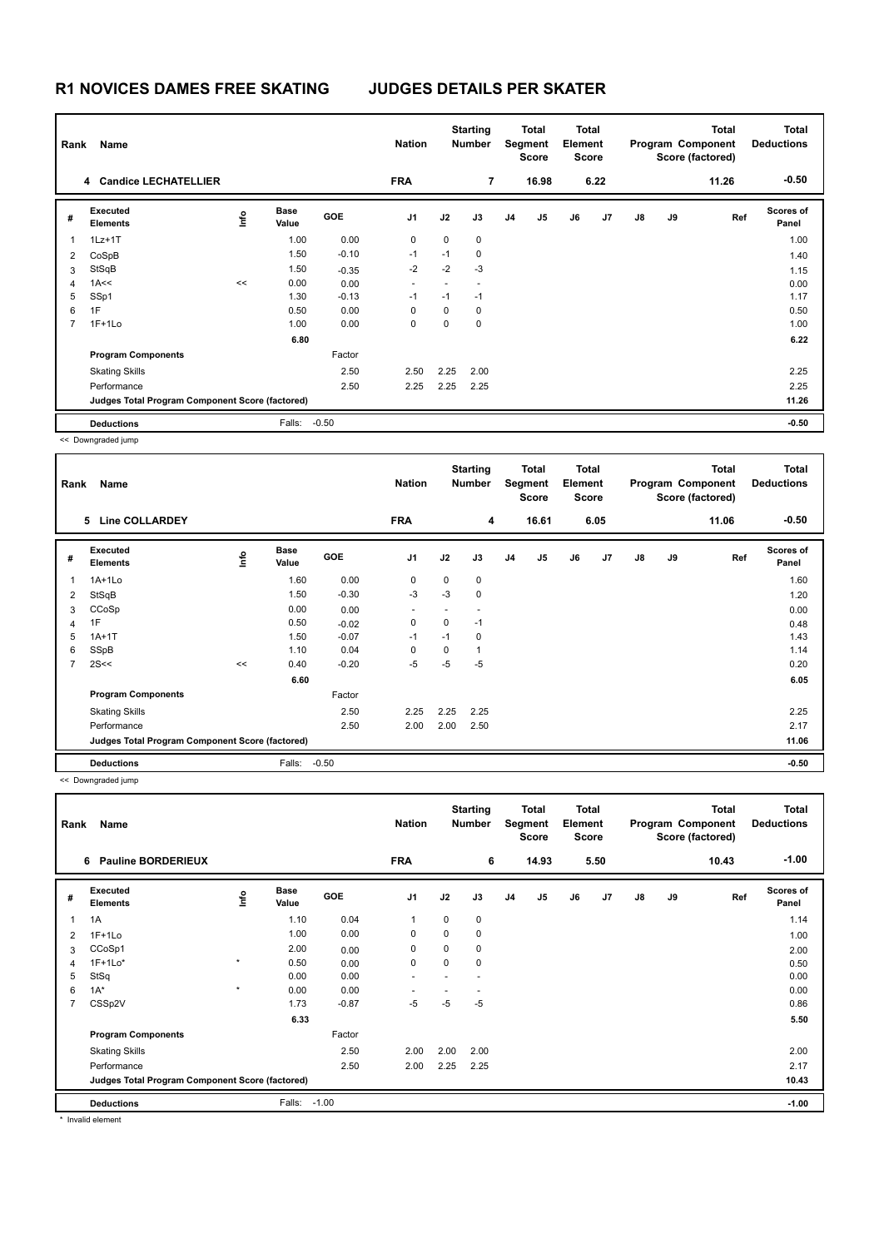## **R1 NOVICES DAMES FREE SKATING JUDGES DETAILS PER SKATER**

| Name<br>Rank   |                                                 |    |                      |            | <b>Nation</b>            | <b>Starting</b><br><b>Number</b> |                          |                | Total<br>Segment<br><b>Score</b> |    | <b>Total</b><br>Element<br><b>Score</b> |               |    | <b>Total</b><br>Program Component<br>Score (factored) | Total<br><b>Deductions</b> |
|----------------|-------------------------------------------------|----|----------------------|------------|--------------------------|----------------------------------|--------------------------|----------------|----------------------------------|----|-----------------------------------------|---------------|----|-------------------------------------------------------|----------------------------|
|                | 4 Candice LECHATELLIER                          |    |                      |            | <b>FRA</b>               |                                  | $\overline{7}$           |                | 16.98                            |    | 6.22                                    |               |    | 11.26                                                 | $-0.50$                    |
| #              | Executed<br><b>Elements</b>                     | ۴ů | <b>Base</b><br>Value | <b>GOE</b> | J1                       | J2                               | J3                       | J <sub>4</sub> | J <sub>5</sub>                   | J6 | J7                                      | $\mathsf{J}8$ | J9 | Ref                                                   | Scores of<br>Panel         |
| $\overline{1}$ | $1Lz+1T$                                        |    | 1.00                 | 0.00       | 0                        | $\mathbf 0$                      | $\mathbf 0$              |                |                                  |    |                                         |               |    |                                                       | 1.00                       |
| 2              | CoSpB                                           |    | 1.50                 | $-0.10$    | $-1$                     | $-1$                             | 0                        |                |                                  |    |                                         |               |    |                                                       | 1.40                       |
| 3              | StSqB                                           |    | 1.50                 | $-0.35$    | $-2$                     | $-2$                             | $-3$                     |                |                                  |    |                                         |               |    |                                                       | 1.15                       |
| 4              | 1A <<                                           | << | 0.00                 | 0.00       | $\overline{\phantom{a}}$ |                                  | $\overline{\phantom{a}}$ |                |                                  |    |                                         |               |    |                                                       | 0.00                       |
| 5              | SSp1                                            |    | 1.30                 | $-0.13$    | $-1$                     | $-1$                             | $-1$                     |                |                                  |    |                                         |               |    |                                                       | 1.17                       |
| 6              | 1F                                              |    | 0.50                 | 0.00       | 0                        | 0                                | 0                        |                |                                  |    |                                         |               |    |                                                       | 0.50                       |
| $\overline{7}$ | $1F+1Lo$                                        |    | 1.00                 | 0.00       | 0                        | 0                                | 0                        |                |                                  |    |                                         |               |    |                                                       | 1.00                       |
|                |                                                 |    | 6.80                 |            |                          |                                  |                          |                |                                  |    |                                         |               |    |                                                       | 6.22                       |
|                | <b>Program Components</b>                       |    |                      | Factor     |                          |                                  |                          |                |                                  |    |                                         |               |    |                                                       |                            |
|                | <b>Skating Skills</b>                           |    |                      | 2.50       | 2.50                     | 2.25                             | 2.00                     |                |                                  |    |                                         |               |    |                                                       | 2.25                       |
|                | Performance                                     |    |                      | 2.50       | 2.25                     | 2.25                             | 2.25                     |                |                                  |    |                                         |               |    |                                                       | 2.25                       |
|                | Judges Total Program Component Score (factored) |    |                      |            |                          |                                  |                          |                |                                  |    |                                         |               |    |                                                       | 11.26                      |
|                | <b>Deductions</b>                               |    | Falls:               | $-0.50$    |                          |                                  |                          |                |                                  |    |                                         |               |    |                                                       | $-0.50$                    |

<< Downgraded jump

| Name<br>Rank   |                                                 |      |                      | <b>Nation</b> |                | <b>Starting</b><br><b>Number</b> |             | Total<br>Segment<br><b>Score</b> | Total<br>Element<br><b>Score</b> |    | Program Component<br>Score (factored) |               | <b>Total</b> | Total<br><b>Deductions</b> |                           |
|----------------|-------------------------------------------------|------|----------------------|---------------|----------------|----------------------------------|-------------|----------------------------------|----------------------------------|----|---------------------------------------|---------------|--------------|----------------------------|---------------------------|
|                | <b>Line COLLARDEY</b><br>5                      |      |                      |               | <b>FRA</b>     |                                  | 4           |                                  | 16.61                            |    | 6.05                                  |               |              | 11.06                      | $-0.50$                   |
| #              | Executed<br><b>Elements</b>                     | lnfo | <b>Base</b><br>Value | <b>GOE</b>    | J <sub>1</sub> | J2                               | J3          | J <sub>4</sub>                   | J5                               | J6 | J7                                    | $\mathsf{J}8$ | J9           | Ref                        | <b>Scores of</b><br>Panel |
|                | $1A+1Lo$                                        |      | 1.60                 | 0.00          | 0              | 0                                | $\mathbf 0$ |                                  |                                  |    |                                       |               |              |                            | 1.60                      |
| 2              | StSqB                                           |      | 1.50                 | $-0.30$       | $-3$           | $-3$                             | $\mathbf 0$ |                                  |                                  |    |                                       |               |              |                            | 1.20                      |
| 3              | CCoSp                                           |      | 0.00                 | 0.00          |                |                                  |             |                                  |                                  |    |                                       |               |              |                            | 0.00                      |
| $\overline{4}$ | 1F                                              |      | 0.50                 | $-0.02$       | 0              | 0                                | $-1$        |                                  |                                  |    |                                       |               |              |                            | 0.48                      |
| 5              | $1A+1T$                                         |      | 1.50                 | $-0.07$       | $-1$           | $-1$                             | 0           |                                  |                                  |    |                                       |               |              |                            | 1.43                      |
| 6              | SSpB                                            |      | 1.10                 | 0.04          | 0              | 0                                |             |                                  |                                  |    |                                       |               |              |                            | 1.14                      |
| $\overline{7}$ | 2S<<                                            | <<   | 0.40                 | $-0.20$       | $-5$           | $-5$                             | $-5$        |                                  |                                  |    |                                       |               |              |                            | 0.20                      |
|                |                                                 |      | 6.60                 |               |                |                                  |             |                                  |                                  |    |                                       |               |              |                            | 6.05                      |
|                | <b>Program Components</b>                       |      |                      | Factor        |                |                                  |             |                                  |                                  |    |                                       |               |              |                            |                           |
|                | <b>Skating Skills</b>                           |      |                      | 2.50          | 2.25           | 2.25                             | 2.25        |                                  |                                  |    |                                       |               |              |                            | 2.25                      |
|                | Performance                                     |      |                      | 2.50          | 2.00           | 2.00                             | 2.50        |                                  |                                  |    |                                       |               |              |                            | 2.17                      |
|                | Judges Total Program Component Score (factored) |      |                      |               |                |                                  |             |                                  |                                  |    |                                       |               |              |                            | 11.06                     |
|                | <b>Deductions</b>                               |      | Falls:               | $-0.50$       |                |                                  |             |                                  |                                  |    |                                       |               |              |                            | $-0.50$                   |

<< Downgraded jump

| $-1.00$<br><b>FRA</b><br>6<br>14.93<br>5.50<br><b>Pauline BORDERIEUX</b><br>10.43<br>6<br>Executed<br>Scores of<br><b>Base</b><br><u>info</u><br>GOE<br>J <sub>1</sub><br>J2<br>J3<br>J <sub>5</sub><br>J6<br>$\mathsf{J}8$<br>J9<br>Ref<br>J <sub>4</sub><br>J7<br>#<br><b>Elements</b><br>Value<br>Panel<br>1.10<br>0.04<br>$\mathbf 0$<br>1A<br>0<br>1.14<br>$\mathbf{1}$<br>1<br>0.00<br>1.00<br>0<br>0<br>0<br>$1F+1Lo$<br>1.00<br>$\overline{2}$<br>2.00<br>0<br>0<br>CCoSp1<br>0<br>0.00<br>3<br>2.00<br>$1F+1Lo*$<br>$\star$<br>$\mathbf 0$<br>$\mathbf 0$<br>0.50<br>0<br>0.00<br>0.50<br>$\overline{4}$<br>StSq<br>0.00<br>0.00<br>5<br>0.00<br>٠<br>$1A^*$<br>$\star$<br>0.00<br>6<br>0.00<br>0.00<br>$-5$<br>$-5$<br>$\overline{7}$<br>CSSp2V<br>1.73<br>$-0.87$<br>$-5$<br>0.86<br>6.33<br>5.50<br><b>Program Components</b><br>Factor<br>2.00<br><b>Skating Skills</b><br>2.50<br>2.00<br>2.00<br>2.00<br>2.50<br>2.25<br>Performance<br>2.00<br>2.25<br>2.17<br>Judges Total Program Component Score (factored)<br>10.43 | Rank | Name |  |  |  | <b>Nation</b> |  | <b>Starting</b><br>Number | <b>Total</b><br>Segment<br><b>Score</b> |  | <b>Total</b><br>Element<br><b>Score</b> |  | <b>Total</b><br>Program Component<br>Score (factored) |  | <b>Total</b><br><b>Deductions</b> |  |
|-----------------------------------------------------------------------------------------------------------------------------------------------------------------------------------------------------------------------------------------------------------------------------------------------------------------------------------------------------------------------------------------------------------------------------------------------------------------------------------------------------------------------------------------------------------------------------------------------------------------------------------------------------------------------------------------------------------------------------------------------------------------------------------------------------------------------------------------------------------------------------------------------------------------------------------------------------------------------------------------------------------------------------------------|------|------|--|--|--|---------------|--|---------------------------|-----------------------------------------|--|-----------------------------------------|--|-------------------------------------------------------|--|-----------------------------------|--|
|                                                                                                                                                                                                                                                                                                                                                                                                                                                                                                                                                                                                                                                                                                                                                                                                                                                                                                                                                                                                                                         |      |      |  |  |  |               |  |                           |                                         |  |                                         |  |                                                       |  |                                   |  |
|                                                                                                                                                                                                                                                                                                                                                                                                                                                                                                                                                                                                                                                                                                                                                                                                                                                                                                                                                                                                                                         |      |      |  |  |  |               |  |                           |                                         |  |                                         |  |                                                       |  |                                   |  |
|                                                                                                                                                                                                                                                                                                                                                                                                                                                                                                                                                                                                                                                                                                                                                                                                                                                                                                                                                                                                                                         |      |      |  |  |  |               |  |                           |                                         |  |                                         |  |                                                       |  |                                   |  |
|                                                                                                                                                                                                                                                                                                                                                                                                                                                                                                                                                                                                                                                                                                                                                                                                                                                                                                                                                                                                                                         |      |      |  |  |  |               |  |                           |                                         |  |                                         |  |                                                       |  |                                   |  |
|                                                                                                                                                                                                                                                                                                                                                                                                                                                                                                                                                                                                                                                                                                                                                                                                                                                                                                                                                                                                                                         |      |      |  |  |  |               |  |                           |                                         |  |                                         |  |                                                       |  |                                   |  |
|                                                                                                                                                                                                                                                                                                                                                                                                                                                                                                                                                                                                                                                                                                                                                                                                                                                                                                                                                                                                                                         |      |      |  |  |  |               |  |                           |                                         |  |                                         |  |                                                       |  |                                   |  |
|                                                                                                                                                                                                                                                                                                                                                                                                                                                                                                                                                                                                                                                                                                                                                                                                                                                                                                                                                                                                                                         |      |      |  |  |  |               |  |                           |                                         |  |                                         |  |                                                       |  |                                   |  |
|                                                                                                                                                                                                                                                                                                                                                                                                                                                                                                                                                                                                                                                                                                                                                                                                                                                                                                                                                                                                                                         |      |      |  |  |  |               |  |                           |                                         |  |                                         |  |                                                       |  |                                   |  |
|                                                                                                                                                                                                                                                                                                                                                                                                                                                                                                                                                                                                                                                                                                                                                                                                                                                                                                                                                                                                                                         |      |      |  |  |  |               |  |                           |                                         |  |                                         |  |                                                       |  |                                   |  |
|                                                                                                                                                                                                                                                                                                                                                                                                                                                                                                                                                                                                                                                                                                                                                                                                                                                                                                                                                                                                                                         |      |      |  |  |  |               |  |                           |                                         |  |                                         |  |                                                       |  |                                   |  |
|                                                                                                                                                                                                                                                                                                                                                                                                                                                                                                                                                                                                                                                                                                                                                                                                                                                                                                                                                                                                                                         |      |      |  |  |  |               |  |                           |                                         |  |                                         |  |                                                       |  |                                   |  |
|                                                                                                                                                                                                                                                                                                                                                                                                                                                                                                                                                                                                                                                                                                                                                                                                                                                                                                                                                                                                                                         |      |      |  |  |  |               |  |                           |                                         |  |                                         |  |                                                       |  |                                   |  |
|                                                                                                                                                                                                                                                                                                                                                                                                                                                                                                                                                                                                                                                                                                                                                                                                                                                                                                                                                                                                                                         |      |      |  |  |  |               |  |                           |                                         |  |                                         |  |                                                       |  |                                   |  |
|                                                                                                                                                                                                                                                                                                                                                                                                                                                                                                                                                                                                                                                                                                                                                                                                                                                                                                                                                                                                                                         |      |      |  |  |  |               |  |                           |                                         |  |                                         |  |                                                       |  |                                   |  |
| $-1.00$<br>Falls:<br><b>Deductions</b><br>$-1.00$                                                                                                                                                                                                                                                                                                                                                                                                                                                                                                                                                                                                                                                                                                                                                                                                                                                                                                                                                                                       |      |      |  |  |  |               |  |                           |                                         |  |                                         |  |                                                       |  |                                   |  |

\* Invalid element